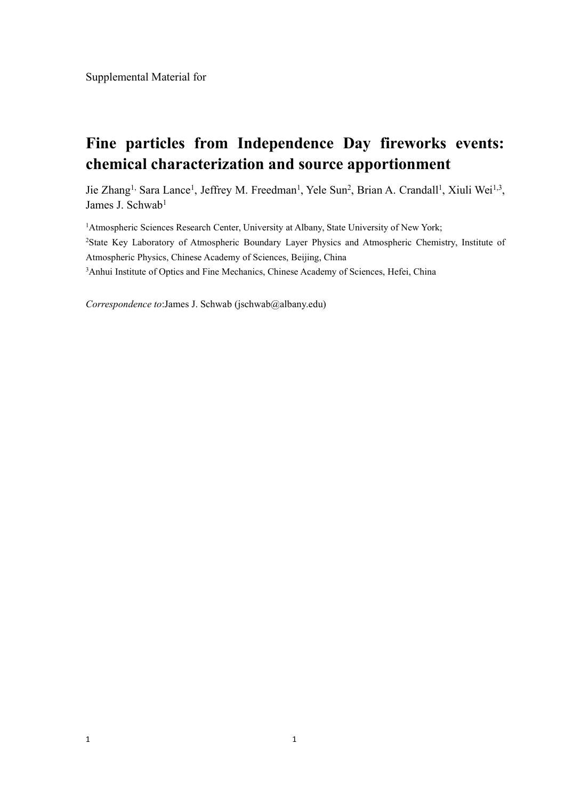Supplemental Material for

## **Fine particles from Independence Day fireworks events: chemical characterization and source apportionment**

Jie Zhang<sup>1,</sup> Sara Lance<sup>1</sup>, Jeffrey M. Freedman<sup>1</sup>, Yele Sun<sup>2</sup>, Brian A. Crandall<sup>1</sup>, Xiuli Wei<sup>1,3</sup>, , James J. Schwab 1

<sup>1</sup>Atmospheric Sciences Research Center, University at Albany, State University of New York; <sup>2</sup>State Key Laboratory of Atmospheric Boundary Layer Physics and Atmospheric Chemistry, Institute of Atmospheric Physics, Chinese Academy of Sciences, Beijing, China <sup>3</sup>Anhui Institute of Optics and Fine Mechanics, Chinese Academy of Sciences, Hefei, China

*Correspondence to*:James J. Schwab (jschwab@albany.edu)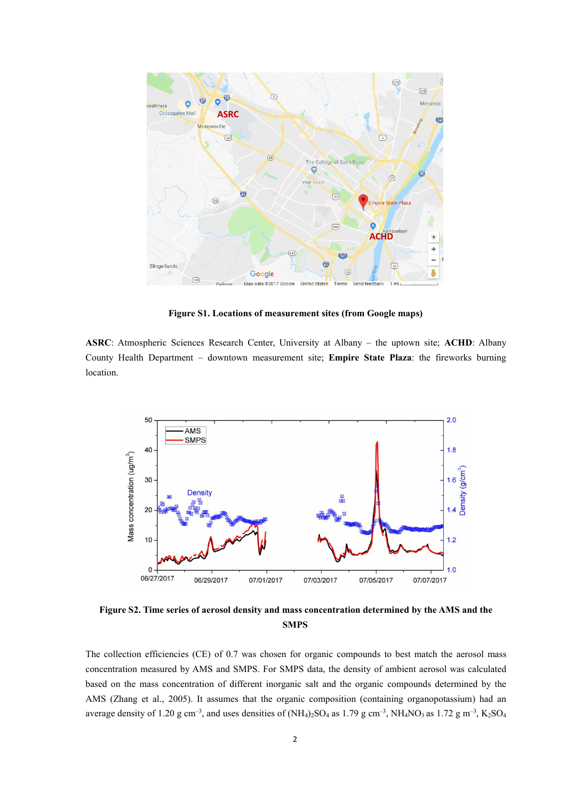

**Figure** S1. Locations of measurement sites (from Google maps)

**ASRC**: Atmospheric Sciences Research Center, University at Albany – the uptown site; **ACHD**: Albany County Health Department – downtown measurement site; **Empire State Plaza**:the fireworks burning location.



**Figure S2. Time series of aerosol density and mass concentration determined by the AMS and the SMPS**

The collection efficiencies (CE) of 0.7 was chosen for organic compounds to best match the aerosol mass concentration measured by AMS and SMPS. For SMPS data, the density of ambient aerosol was calculated based on the mass concentration of different inorganic salt and the organic compounds determined by the AMS (Zhang et al., 2005). It assumes that the organic composition (containing organopotassium) had an average density of 1.20 g cm<sup>-3</sup>, and uses densities of (NH<sub>4</sub>)<sub>2</sub>SO<sub>4</sub> as 1.79 g cm<sup>-3</sup>, NH<sub>4</sub>NO<sub>3</sub> as 1.72 g m<sup>-3</sup>, K<sub>2</sub>SO<sub>4</sub>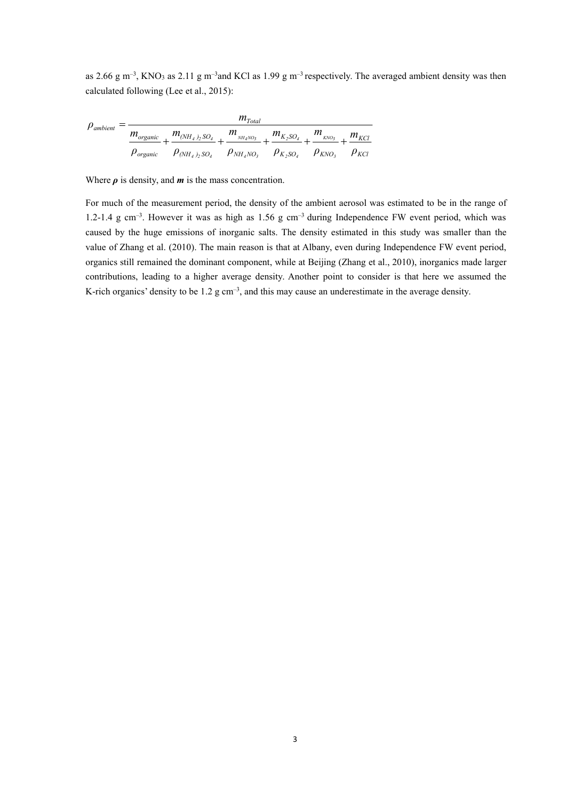as 2.66 g m<sup>-3</sup>, KNO<sub>3</sub> as 2.11 g m<sup>-3</sup>and KCl as 1.99 g m<sup>-3</sup> respectively. The averaged ambient density was then calculated following (Lee et al., 2015):

$$
\rho_{ambient} = \frac{m_{organic}}{m_{organic} + \frac{m_{(NH_4)_2SO_4}}{p_{organic}} + \frac{m_{_{NH_4NO_3}}}{p_{(NH_4)_2SO_4}} + \frac{m_{_{NH_4NO_3}}}{p_{NH_4NO_3}} + \frac{m_{K_2SO_4}}{p_{K_2SO_4}} + \frac{m_{_{KNO_3}}}{p_{KNO_3}} + \frac{m_{KCI}}{p_{KCI}}
$$

Where  $\rho$  is density, and  $m$  is the mass concentration.

For much of the measurement period, the density of the ambient aerosol was estimated to be in the range of 1.2-1.4 g cm–3 . However it was as high as 1.56 g cm–3 during Independence FW event period, which was caused by the huge emissions of inorganic salts. The density estimated in this study was smaller than the value of Zhang et al. (2010). The main reason is that at Albany, even during Independence FW event period, organics still remained the dominant component, while at Beijing (Zhang et al., 2010), inorganics made larger contributions, leading to a higher average density. Another point to consider is that here we assumed the K-rich organics' density to be  $1.2 \text{ g cm}^{-3}$ , and this may cause an underestimate in the average density.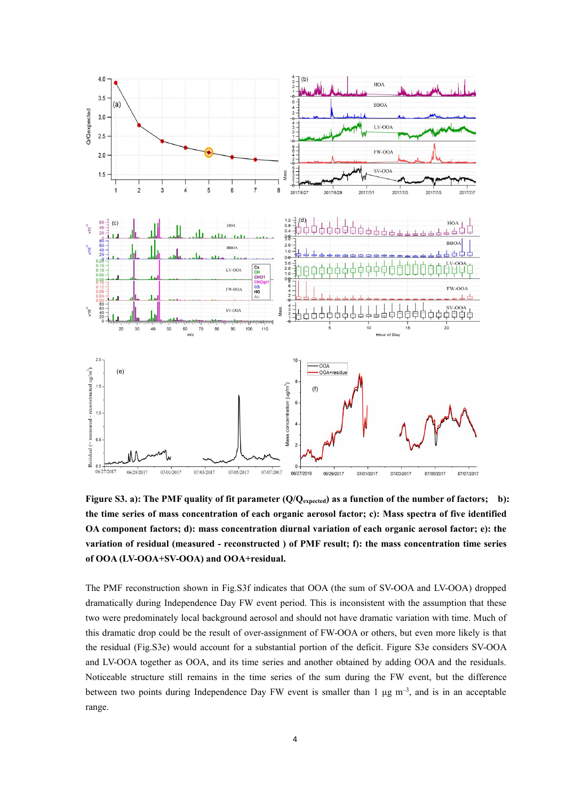

Figure S3. a): The PMF quality of fit parameter (Q/Q<sub>expected</sub>) as a function of the number of factors; b): **the time series of mass concentration of each organic aerosol factor; c): Mass spectra of five identified OA component factors; d): mass concentration diurnal variation of each organic aerosol factor; e): the variation of residual (measured - reconstructed ) of PMF result; f): the mass concentration time series of OOA (LV-OOA+SV-OOA) and OOA+residual.**

The PMF reconstruction shown in Fig.S3f indicates that OOA (the sum of SV-OOA and LV-OOA) dropped dramatically during Independence Day FW event period. This is inconsistent with the assumption that these two were predominately local background aerosol and should not have dramatic variation with time. Much of this dramatic drop could be the result of over-assignment of FW-OOA or others, but even more likely is that the residual (Fig.S3e) would account for a substantial portion of the deficit. Figure S3e considers SV-OOA and LV-OOA together as OOA, and its time series and another obtained by adding OOA and the residuals. Noticeable structure still remains in the time series of the sum during the FW event, but the difference between two points during Independence Day FW event is smaller than 1  $\mu$ g m<sup>-3</sup>, and is in an acceptable range.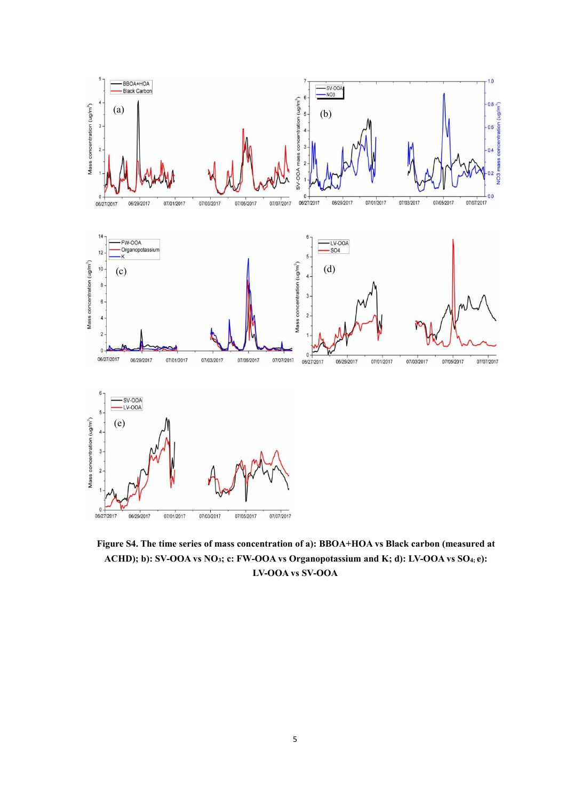

**Figure S4. The time series ofmass concentration of a): BBOA+HOA vs Black carbon (measured at ACHD); b): SV-OOA vs NO3; c: FW-OOA vs Organopotassium and K; d): LV-OOA vs SO4; e): LV-OOA vs SV-OOA**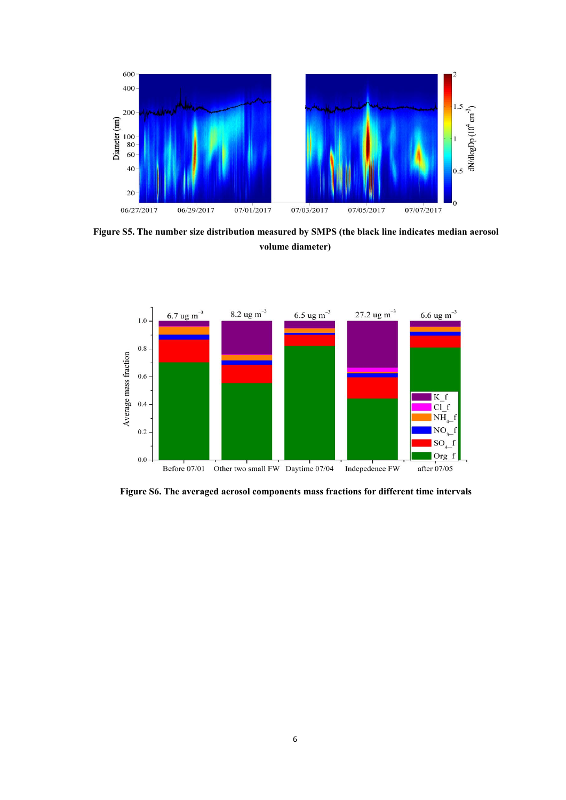

**Figure S5. The number size distribution measured by SMPS (the black line indicates median aerosol volume diameter)**



**Figure S6. The averaged aerosol components mass fractions for different time intervals**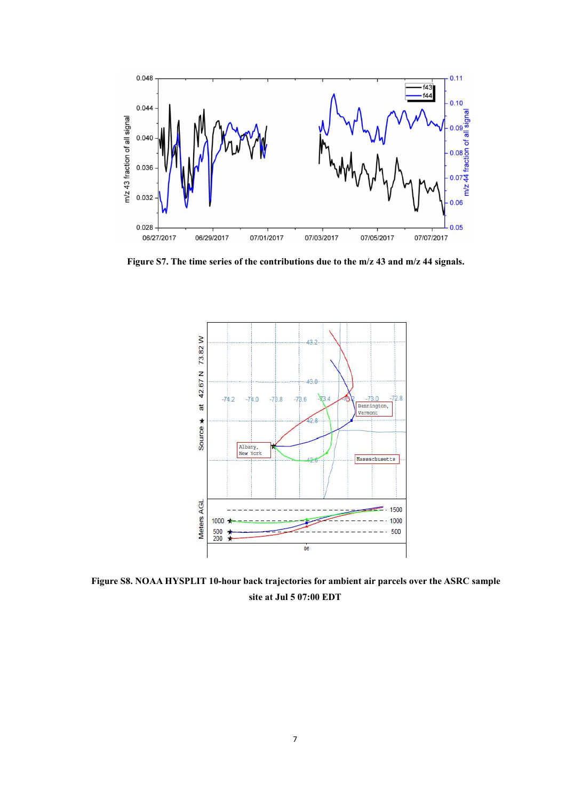

**Figure** S7. The time series of the contributions due to the m/z 43 and m/z 44 signals.



**Figure S8. NOAA HYSPLIT 10-hour back trajectories for ambient air parcels over the ASRC sample site at Jul 5 07:00 EDT**